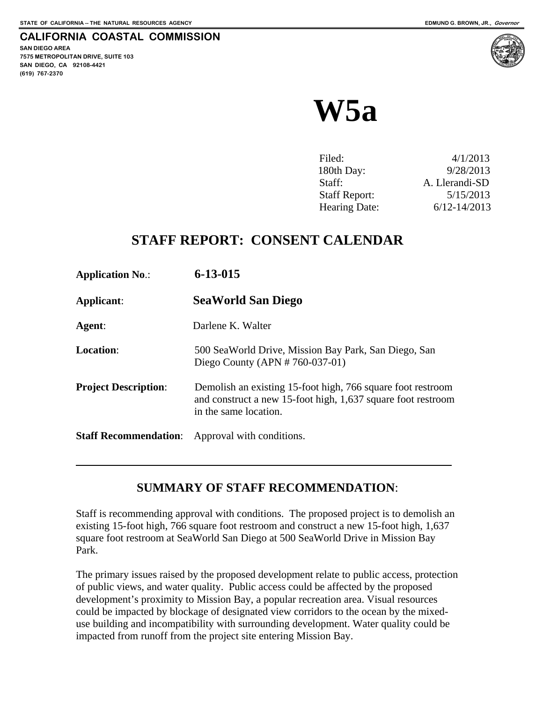# **CALIFORNIA COASTAL COMMISSION**

**SAN DIEGO AREA 7575 METROPOLITAN DRIVE, SUITE 103 SAN DIEGO, CA 92108-4421 (619) 767-2370**

 $\overline{a}$ 



# **W5a**

| Filed:               | 4/1/2013         |
|----------------------|------------------|
| 180th Day:           | 9/28/2013        |
| Staff:               | A. Llerandi-SD   |
| <b>Staff Report:</b> | 5/15/2013        |
| Hearing Date:        | $6/12 - 14/2013$ |

# **STAFF REPORT: CONSENT CALENDAR**

| <b>Application No.:</b>      | $6 - 13 - 015$                                                                                                                                       |
|------------------------------|------------------------------------------------------------------------------------------------------------------------------------------------------|
| <b>Applicant:</b>            | <b>SeaWorld San Diego</b>                                                                                                                            |
| Agent:                       | Darlene K. Walter                                                                                                                                    |
| <b>Location:</b>             | 500 SeaWorld Drive, Mission Bay Park, San Diego, San<br>Diego County (APN $# 760-037-01$ )                                                           |
| <b>Project Description:</b>  | Demolish an existing 15-foot high, 766 square foot restroom<br>and construct a new 15-foot high, 1,637 square foot restroom<br>in the same location. |
| <b>Staff Recommendation:</b> | Approval with conditions.                                                                                                                            |

# **SUMMARY OF STAFF RECOMMENDATION**:

Staff is recommending approval with conditions. The proposed project is to demolish an existing 15-foot high, 766 square foot restroom and construct a new 15-foot high, 1,637 square foot restroom at SeaWorld San Diego at 500 SeaWorld Drive in Mission Bay Park.

The primary issues raised by the proposed development relate to public access, protection of public views, and water quality. Public access could be affected by the proposed development's proximity to Mission Bay, a popular recreation area. Visual resources could be impacted by blockage of designated view corridors to the ocean by the mixeduse building and incompatibility with surrounding development. Water quality could be impacted from runoff from the project site entering Mission Bay.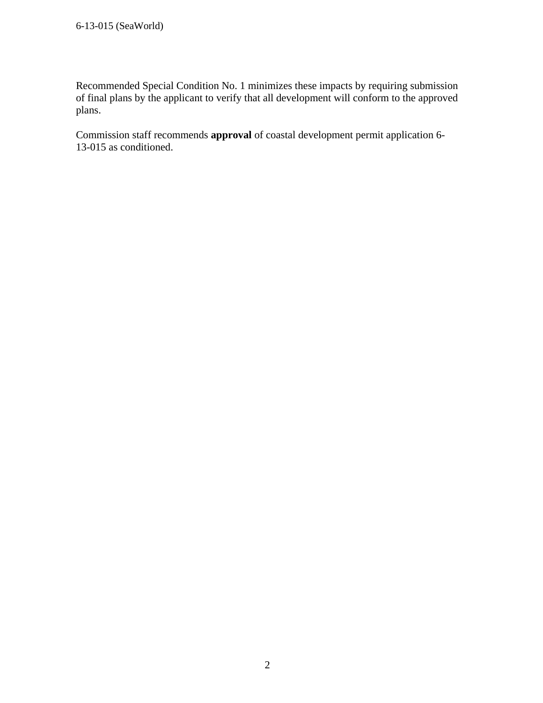Recommended Special Condition No. 1 minimizes these impacts by requiring submission of final plans by the applicant to verify that all development will conform to the approved plans.

Commission staff recommends **approval** of coastal development permit application 6- 13-015 as conditioned.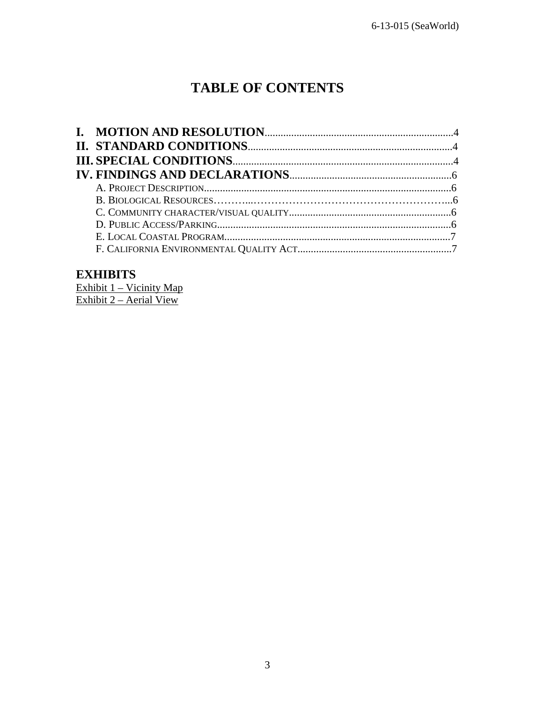# **TABLE OF CONTENTS**

# **EXHIBITS**

Exhibit 1 – Vicinity Map Exhibit 2 – Aerial View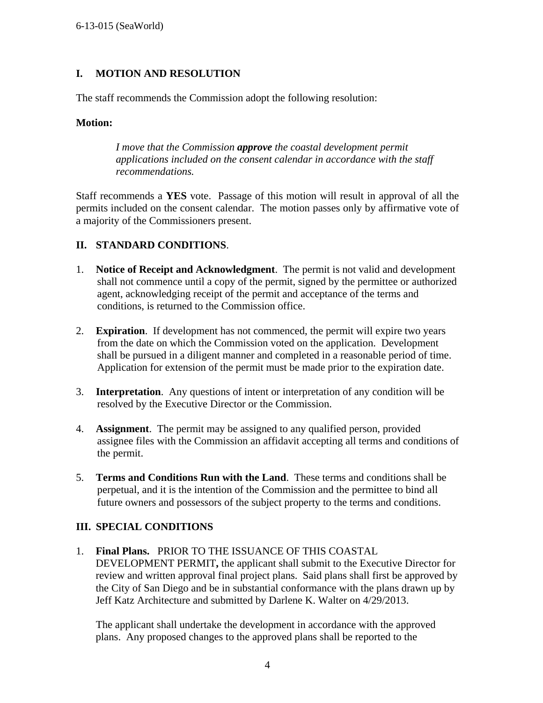#### **I. MOTION AND RESOLUTION**

The staff recommends the Commission adopt the following resolution:

#### **Motion:**

 *I move that the Commission approve the coastal development permit applications included on the consent calendar in accordance with the staff recommendations.* 

Staff recommends a **YES** vote. Passage of this motion will result in approval of all the permits included on the consent calendar. The motion passes only by affirmative vote of a majority of the Commissioners present.

#### **II. STANDARD CONDITIONS**.

- 1. **Notice of Receipt and Acknowledgment**. The permit is not valid and development shall not commence until a copy of the permit, signed by the permittee or authorized agent, acknowledging receipt of the permit and acceptance of the terms and conditions, is returned to the Commission office.
- 2. **Expiration**. If development has not commenced, the permit will expire two years from the date on which the Commission voted on the application. Development shall be pursued in a diligent manner and completed in a reasonable period of time. Application for extension of the permit must be made prior to the expiration date.
- 3. **Interpretation**. Any questions of intent or interpretation of any condition will be resolved by the Executive Director or the Commission.
- 4. **Assignment**. The permit may be assigned to any qualified person, provided assignee files with the Commission an affidavit accepting all terms and conditions of the permit.
- 5. **Terms and Conditions Run with the Land**. These terms and conditions shall be perpetual, and it is the intention of the Commission and the permittee to bind all future owners and possessors of the subject property to the terms and conditions.

#### **III. SPECIAL CONDITIONS**

1. **Final Plans.** PRIOR TO THE ISSUANCE OF THIS COASTAL DEVELOPMENT PERMIT**,** the applicant shall submit to the Executive Director for review and written approval final project plans. Said plans shall first be approved by the City of San Diego and be in substantial conformance with the plans drawn up by Jeff Katz Architecture and submitted by Darlene K. Walter on 4/29/2013.

 The applicant shall undertake the development in accordance with the approved plans. Any proposed changes to the approved plans shall be reported to the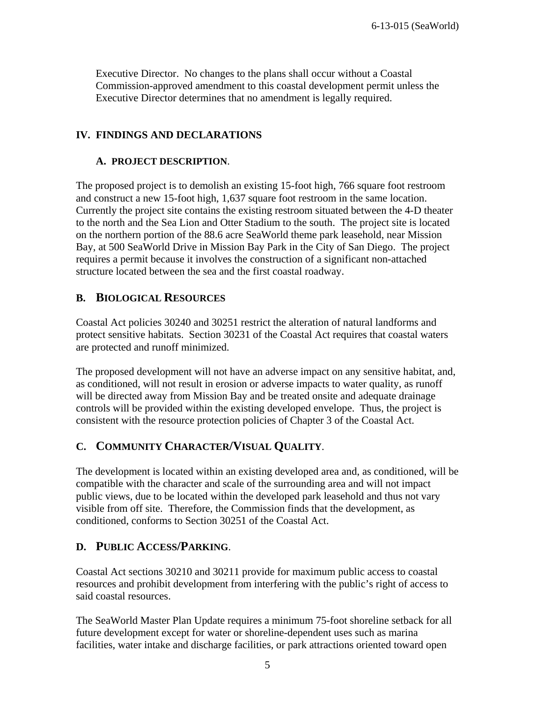Executive Director. No changes to the plans shall occur without a Coastal Commission-approved amendment to this coastal development permit unless the Executive Director determines that no amendment is legally required.

#### **IV. FINDINGS AND DECLARATIONS**

#### **A. PROJECT DESCRIPTION**.

The proposed project is to demolish an existing 15-foot high, 766 square foot restroom and construct a new 15-foot high, 1,637 square foot restroom in the same location. Currently the project site contains the existing restroom situated between the 4-D theater to the north and the Sea Lion and Otter Stadium to the south. The project site is located on the northern portion of the 88.6 acre SeaWorld theme park leasehold, near Mission Bay, at 500 SeaWorld Drive in Mission Bay Park in the City of San Diego. The project requires a permit because it involves the construction of a significant non-attached structure located between the sea and the first coastal roadway.

#### **B. BIOLOGICAL RESOURCES**

Coastal Act policies 30240 and 30251 restrict the alteration of natural landforms and protect sensitive habitats. Section 30231 of the Coastal Act requires that coastal waters are protected and runoff minimized.

The proposed development will not have an adverse impact on any sensitive habitat, and, as conditioned, will not result in erosion or adverse impacts to water quality, as runoff will be directed away from Mission Bay and be treated onsite and adequate drainage controls will be provided within the existing developed envelope. Thus, the project is consistent with the resource protection policies of Chapter 3 of the Coastal Act.

### **C. COMMUNITY CHARACTER/VISUAL QUALITY**.

The development is located within an existing developed area and, as conditioned, will be compatible with the character and scale of the surrounding area and will not impact public views, due to be located within the developed park leasehold and thus not vary visible from off site. Therefore, the Commission finds that the development, as conditioned, conforms to Section 30251 of the Coastal Act.

#### **D. PUBLIC ACCESS/PARKING**.

Coastal Act sections 30210 and 30211 provide for maximum public access to coastal resources and prohibit development from interfering with the public's right of access to said coastal resources.

The SeaWorld Master Plan Update requires a minimum 75-foot shoreline setback for all future development except for water or shoreline-dependent uses such as marina facilities, water intake and discharge facilities, or park attractions oriented toward open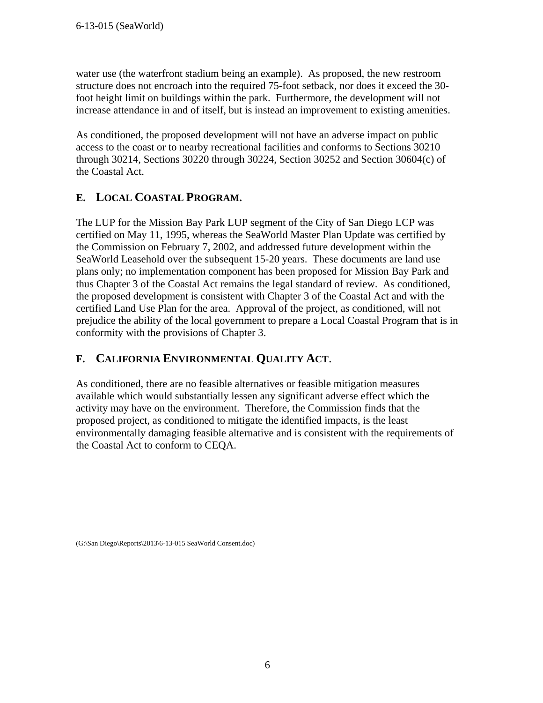water use (the waterfront stadium being an example). As proposed, the new restroom structure does not encroach into the required 75-foot setback, nor does it exceed the 30 foot height limit on buildings within the park. Furthermore, the development will not increase attendance in and of itself, but is instead an improvement to existing amenities.

As conditioned, the proposed development will not have an adverse impact on public access to the coast or to nearby recreational facilities and conforms to Sections 30210 through 30214, Sections 30220 through 30224, Section 30252 and Section 30604(c) of the Coastal Act.

# **E. LOCAL COASTAL PROGRAM.**

The LUP for the Mission Bay Park LUP segment of the City of San Diego LCP was certified on May 11, 1995, whereas the SeaWorld Master Plan Update was certified by the Commission on February 7, 2002, and addressed future development within the SeaWorld Leasehold over the subsequent 15-20 years. These documents are land use plans only; no implementation component has been proposed for Mission Bay Park and thus Chapter 3 of the Coastal Act remains the legal standard of review. As conditioned, the proposed development is consistent with Chapter 3 of the Coastal Act and with the certified Land Use Plan for the area. Approval of the project, as conditioned, will not prejudice the ability of the local government to prepare a Local Coastal Program that is in conformity with the provisions of Chapter 3.

## **F. CALIFORNIA ENVIRONMENTAL QUALITY ACT**.

As conditioned, there are no feasible alternatives or feasible mitigation measures available which would substantially lessen any significant adverse effect which the activity may have on the environment. Therefore, the Commission finds that the proposed project, as conditioned to mitigate the identified impacts, is the least environmentally damaging feasible alternative and is consistent with the requirements of the Coastal Act to conform to CEQA.

(G:\San Diego\Reports\2013\6-13-015 SeaWorld Consent.doc)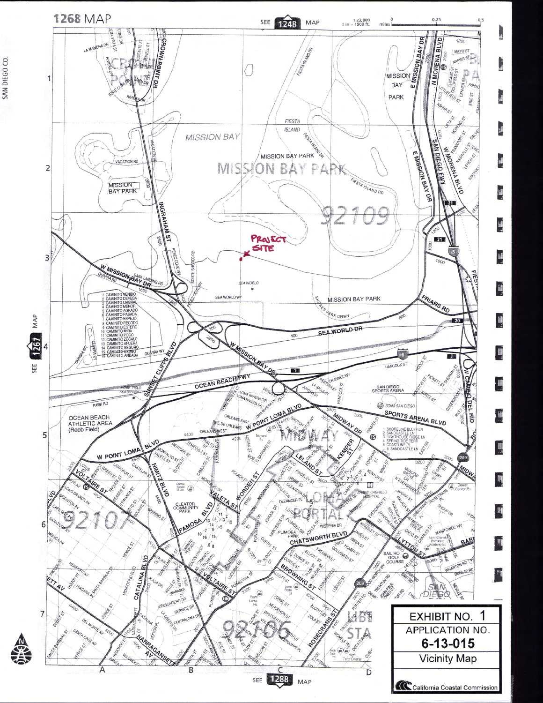